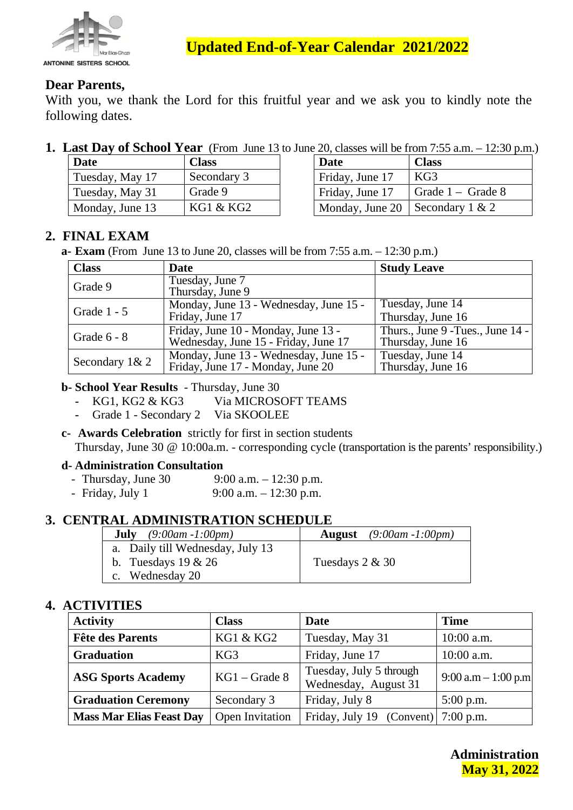

**Updated End-of-Year Calendar 2021/2022**

### **Dear Parents,**

With you, we thank the Lord for this fruitful year and we ask you to kindly note the following dates.

**1. Last Day of School Year** (From June 13 to June 20, classes will be from 7:55 a.m. – 12:30 p.m.)

| <b>Date</b>     | <b>Class</b> | Date                              | <b>Class</b>        |
|-----------------|--------------|-----------------------------------|---------------------|
| Tuesday, May 17 | Secondary 3  | Friday, June 17                   | KG3                 |
| Tuesday, May 31 | Grade 9      | Friday, June 17                   | Grade $1 -$ Grade 8 |
| Monday, June 13 | KG1 & KG2    | Monday, June 20   Secondary 1 & 2 |                     |

| $\sim$ 20, 0.0000 will be home as also 12.00 p.m. |                           |  |  |  |
|---------------------------------------------------|---------------------------|--|--|--|
| Date                                              | <b>Class</b>              |  |  |  |
| Friday, June 17                                   | KG3                       |  |  |  |
| Friday, June 17                                   | $\vert$ Grade 1 – Grade 8 |  |  |  |
| Monday, June 20   Secondary 1 & 2                 |                           |  |  |  |

# **2. FINAL EXAM**

**a- Exam** (From June 13 to June 20, classes will be from 7:55 a.m. – 12:30 p.m.)

| <b>Class</b>   | <b>Date</b>                                                                 | <b>Study Leave</b>                                     |
|----------------|-----------------------------------------------------------------------------|--------------------------------------------------------|
| Grade 9        | Tuesday, June 7<br>Thursday, June 9                                         |                                                        |
| Grade 1 - 5    | Monday, June 13 - Wednesday, June 15 -<br>Friday, June 17                   | Tuesday, June 14<br>Thursday, June 16                  |
| Grade $6 - 8$  | Friday, June 10 - Monday, June 13 -<br>Wednesday, June 15 - Friday, June 17 | Thurs., June 9 - Tues., June 14 -<br>Thursday, June 16 |
| Secondary 1& 2 | Monday, June 13 - Wednesday, June 15 -<br>Friday, June 17 - Monday, June 20 | Tuesday, June 14<br>Thursday, June 16                  |

**b- School Year Results** - Thursday, June 30

- **-** KG1, KG2 & KG3 Via MICROSOFT TEAMS
- **-** Grade 1 Secondary 2 Via SKOOLEE
- **c- Awards Celebration** strictly for first in section students

Thursday, June 30 @ 10:00a.m. - corresponding cycle (transportation is the parents' responsibility.)

#### **d- Administration Consultation**

- Thursday, June 30  $9:00$  a.m.  $-12:30$  p.m.
- Friday, July 1 9:00 a.m. 12:30 p.m.

### **3. CENTRAL ADMINISTRATION SCHEDULE**

| <b>July</b> $(9:00am - 1:00pm)$  | <b>August</b> $(9:00am - 1:00pm)$ |
|----------------------------------|-----------------------------------|
| a. Daily till Wednesday, July 13 |                                   |
| b. Tuesdays $19 \& 26$           | Tuesdays $2 & 30$                 |
| c. Wednesday 20                  |                                   |

# **4. ACTIVITIES**

| <b>Activity</b>                 | <b>Class</b>    | Date                                            | <b>Time</b>            |
|---------------------------------|-----------------|-------------------------------------------------|------------------------|
| <b>Fête des Parents</b>         | KG1 & KG2       | Tuesday, May 31                                 | 10:00 a.m.             |
| <b>Graduation</b>               | KG3             | Friday, June 17                                 | 10:00 a.m.             |
| <b>ASG Sports Academy</b>       | $KG1 - Grade 8$ | Tuesday, July 5 through<br>Wednesday, August 31 | $9:00$ a.m $-1:00$ p.m |
| <b>Graduation Ceremony</b>      | Secondary 3     | Friday, July 8                                  | $5:00$ p.m.            |
| <b>Mass Mar Elias Feast Day</b> | Open Invitation | Friday, July 19 $(Convert)$ 7:00 p.m.           |                        |